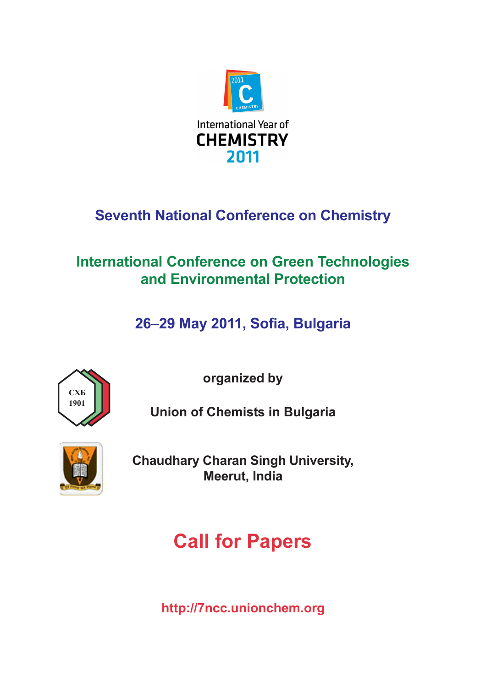

# **Seventh National Conference on Chemistry**

## **International Conference on Green Technologies** and Environmental Protection

26-29 May 2011, Sofia, Bulgaria



organized by

**Union of Chemists in Bulgaria** 



**Chaudhary Charan Singh University, Meerut, India** 

# **Call for Papers**

http://7ncc.unionchem.org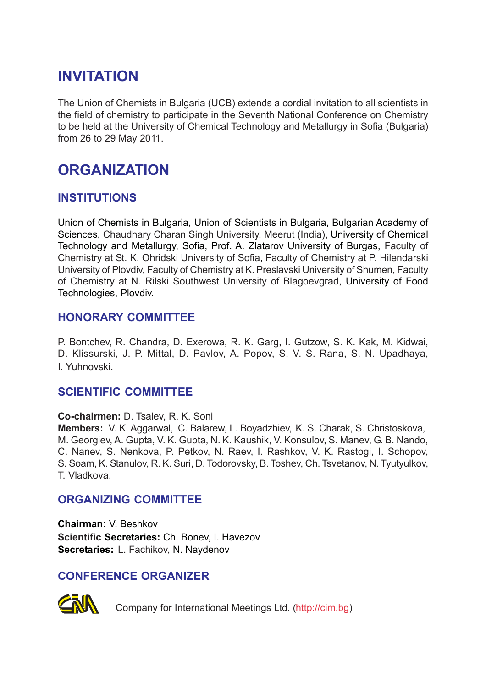### **INVITATION**

The Union of Chemists in Bulgaria (UCB) extends a cordial invitation to all scientists in the field of chemistry to participate in the Seventh National Conference on Chemistry to be held at the University of Chemical Technology and Metallurgy in Sofia (Bulgaria) from 26 to 29 May 2011.

### **ORGANIZATION**

#### **INSTITUTIONS**

Union of Chemists in Bulgaria, Union of Scientists in Bulgaria, Bulgarian Academy of Sciences, Chaudhary Charan Singh University, Meerut (India), University of Chemical Technology and Metallurgy, Sofia, Prof. A. Zlatarov University of Burgas, Faculty of Chemistry at St. K. Ohridski University of Sofia, Faculty of Chemistry at P. Hilendarski University of Plovdiv, Faculty of Chemistry at K. Preslavski University of Shumen, Faculty of Chemistry at N. Rilski Southwest University of Blagoevgrad, University of Food Technologies, Plovdiv.

#### **HONORARY COMMITTEE**

P. Bontchev, R. Chandra, D. Exerowa, R. K. Garg, I. Gutzow, S. K. Kak, M. Kidwai, D. Klissurski, J. P. Mittal, D. Pavlov, A. Popov, S. V. S. Rana, S. N. Upadhaya, I. Yuhnovski.

#### **SCIENTIFIC COMMITTEE**

**Co-chairmen:** D. Tsalev, R. K. Soni

**Members:** V. K. Aggarwal, C. Balarew, L. Boyadzhiev, K. S. Charak, S. Christoskova, M. Georgiev, A. Gupta, V. K. Gupta, N. K. Kaushik, V. Konsulov, S. Manev, G. B. Nando, C. Nanev, S. Nenkova, P. Petkov, N. Raev, I. Rashkov, V. K. Rastogi, I. Schopov, S. Soam, K. Stanulov, R. K. Suri, D. Todorovsky, B. Toshev, Ch. Tsvetanov, N. Tyutyulkov, T. Vladkova.

#### **ORGANIZING COMMITTEE**

**Chairman:** V. Beshkov **Scientific Secretaries:** Ch. Bonev, I. Havezov **Secretaries:** L. Fachikov, N. Naydenov

#### **CONFERENCE ORGANIZER**



Company for International Meetings Ltd. (http://cim.bg)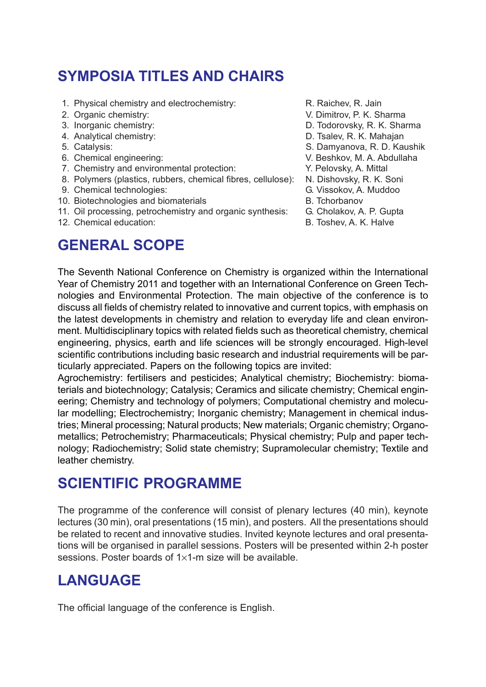# **SYMPOSIA TITLES AND CHAIRS**

- 1. Physical chemistry and electrochemistry: R. Raichev, R. Jain
- 
- 
- 
- 
- 
- 7. Chemistry and environmental protection: Y. Pelovsky, A. Mittal
- 8. Polymers (plastics, rubbers, chemical fibres, cellulose): N. Dishovsky, R. K. Soni
- 9. Chemical technologies: G. Vissokov, A. Muddoo
- 10. Biotechnologies and biomaterials **B. The B. Tchorbanov**
- 11. Oil processing, petrochemistry and organic synthesis: G. Cholakov, A. P. Gupta
- 12. Chemical education: The example of the B. Toshev, A. K. Halve

#### **GENERAL SCOPE**

- 
- 2. Organic chemistry: V. Dimitrov, P. K. Sharma
- 3. Inorganic chemistry: D. Todorovsky, R. K. Sharma
- 4. Analytical chemistry: D. Tsalev, R. K. Mahajan
- 5. Catalysis: S. Damyanova, R. D. Kaushik
- 6. Chemical engineering: V. Beshkov, M. A. Abdullaha
	-
	-
	- -
	-
	-

The Seventh National Conference on Chemistry is organized within the International Year of Chemistry 2011 and together with an International Conference on Green Technologies and Environmental Protection. The main objective of the conference is to discuss all fields of chemistry related to innovative and current topics, with emphasis on the latest developments in chemistry and relation to everyday life and clean environment. Multidisciplinary topics with related fields such as theoretical chemistry, chemical engineering, physics, earth and life sciences will be strongly encouraged. High-level scientific contributions including basic research and industrial requirements will be particularly appreciated. Papers on the following topics are invited:

Agrochemistry: fertilisers and pesticides; Analytical chemistry; Biochemistry: biomaterials and biotechnology; Catalysis; Ceramics and silicate chemistry; Chemical engineering; Chemistry and technology of polymers; Computational chemistry and molecular modelling; Electrochemistry; Inorganic chemistry; Management in chemical industries; Mineral processing; Natural products; New materials; Organic chemistry; Organometallics; Petrochemistry; Pharmaceuticals; Physical chemistry; Pulp and paper technology; Radiochemistry; Solid state chemistry; Supramolecular chemistry; Textile and leather chemistry.

### **SCIENTIFIC PROGRAMME**

The programme of the conference will consist of plenary lectures (40 min), keynote lectures (30 min), oral presentations (15 min), and posters. All the presentations should be related to recent and innovative studies. Invited keynote lectures and oral presentations will be organised in parallel sessions. Posters will be presented within 2-h poster sessions. Poster boards of 1×1-m size will be available.

### **LANGUAGE**

The official language of the conference is English.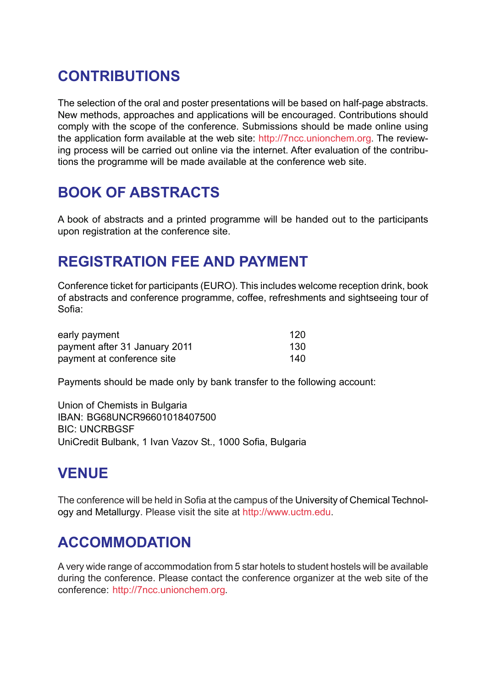# **CONTRIBUTIONS**

The selection of the oral and poster presentations will be based on half-page abstracts. New methods, approaches and applications will be encouraged. Contributions should comply with the scope of the conference. Submissions should be made online using the application form available at the web site: http://7ncc.unionchem.org. The reviewing process will be carried out online via the internet. After evaluation of the contributions the programme will be made available at the conference web site.

## **BOOK OF ABSTRACTS**

A book of abstracts and a printed programme will be handed out to the participants upon registration at the conference site.

#### **REGISTRATION FEE AND PAYMENT**

Conference ticket for participants (EURO). This includes welcome reception drink, book of abstracts and conference programme, coffee, refreshments and sightseeing tour of Sofia:

| early payment                 | 120 |
|-------------------------------|-----|
| payment after 31 January 2011 | 130 |
| payment at conference site    | 140 |

Payments should be made only by bank transfer to the following account:

Union of Chemists in Bulgaria IBAN: BG68UNCR96601018407500 BIC: UNCRBGSF UniCredit Bulbank, 1 Ivan Vazov St., 1000 Sofia, Bulgaria

### **VENUE**

The conference will be held in Sofia at the campus of the University of Chemical Technology and Metallurgy. Please visit the site at http://www.uctm.edu.

### **ACCOMMODATION**

A very wide range of accommodation from 5 star hotels to student hostels will be available during the conference. Please contact the conference organizer at the web site of the conference: http://7ncc.unionchem.org.